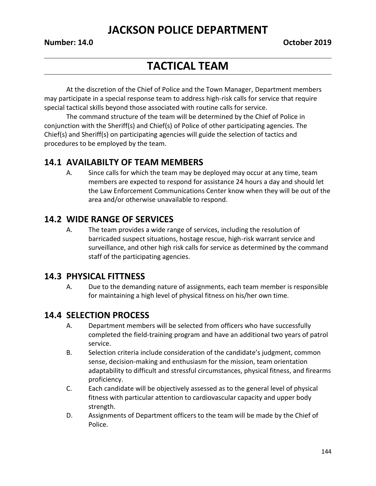# **JACKSON POLICE DEPARTMENT**

# **TACTICAL TEAM**

At the discretion of the Chief of Police and the Town Manager, Department members may participate in a special response team to address high-risk calls for service that require special tactical skills beyond those associated with routine calls for service.

The command structure of the team will be determined by the Chief of Police in conjunction with the Sheriff(s) and Chief(s) of Police of other participating agencies. The Chief(s) and Sheriff(s) on participating agencies will guide the selection of tactics and procedures to be employed by the team.

## **14.1 AVAILABILTY OF TEAM MEMBERS**

A. Since calls for which the team may be deployed may occur at any time, team members are expected to respond for assistance 24 hours a day and should let the Law Enforcement Communications Center know when they will be out of the area and/or otherwise unavailable to respond.

## **14.2 WIDE RANGE OF SERVICES**

A. The team provides a wide range of services, including the resolution of barricaded suspect situations, hostage rescue, high-risk warrant service and surveillance, and other high risk calls for service as determined by the command staff of the participating agencies.

## **14.3 PHYSICAL FITTNESS**

A. Due to the demanding nature of assignments, each team member is responsible for maintaining a high level of physical fitness on his/her own time.

## **14.4 SELECTION PROCESS**

- A. Department members will be selected from officers who have successfully completed the field-training program and have an additional two years of patrol service.
- B. Selection criteria include consideration of the candidate's judgment, common sense, decision-making and enthusiasm for the mission, team orientation adaptability to difficult and stressful circumstances, physical fitness, and firearms proficiency.
- C. Each candidate will be objectively assessed as to the general level of physical fitness with particular attention to cardiovascular capacity and upper body strength.
- D. Assignments of Department officers to the team will be made by the Chief of Police.